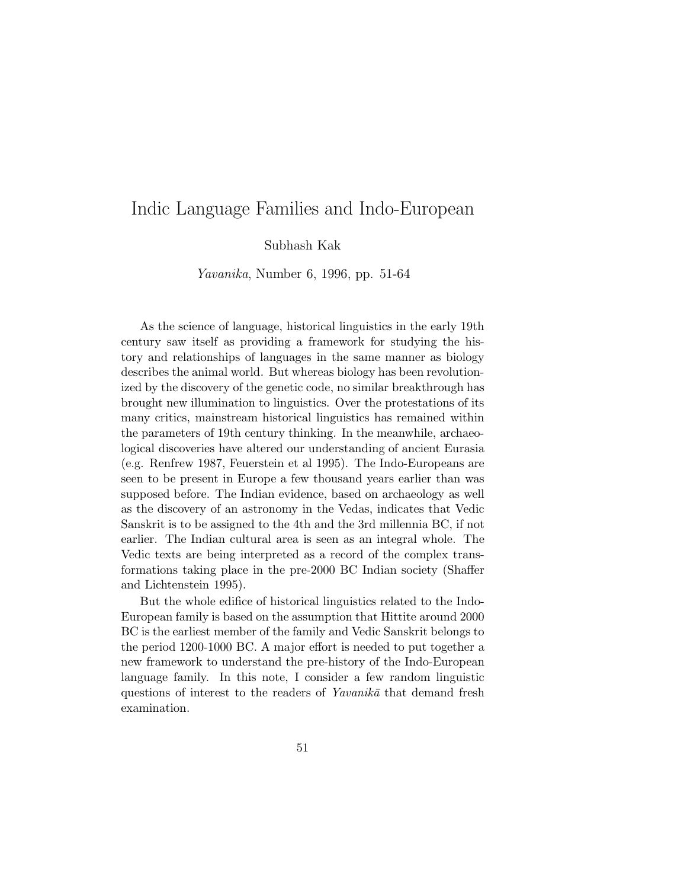# Indic Language Families and Indo-European

Subhash Kak

Yavanika, Number 6, 1996, pp. 51-64

As the science of language, historical linguistics in the early 19th century saw itself as providing a framework for studying the history and relationships of languages in the same manner as biology describes the animal world. But whereas biology has been revolutionized by the discovery of the genetic code, no similar breakthrough has brought new illumination to linguistics. Over the protestations of its many critics, mainstream historical linguistics has remained within the parameters of 19th century thinking. In the meanwhile, archaeological discoveries have altered our understanding of ancient Eurasia (e.g. Renfrew 1987, Feuerstein et al 1995). The Indo-Europeans are seen to be present in Europe a few thousand years earlier than was supposed before. The Indian evidence, based on archaeology as well as the discovery of an astronomy in the Vedas, indicates that Vedic Sanskrit is to be assigned to the 4th and the 3rd millennia BC, if not earlier. The Indian cultural area is seen as an integral whole. The Vedic texts are being interpreted as a record of the complex transformations taking place in the pre-2000 BC Indian society (Shaffer and Lichtenstein 1995).

But the whole edifice of historical linguistics related to the Indo-European family is based on the assumption that Hittite around 2000 BC is the earliest member of the family and Vedic Sanskrit belongs to the period 1200-1000 BC. A major effort is needed to put together a new framework to understand the pre-history of the Indo-European language family. In this note, I consider a few random linguistic questions of interest to the readers of  $Yavanik\bar{a}$  that demand fresh examination.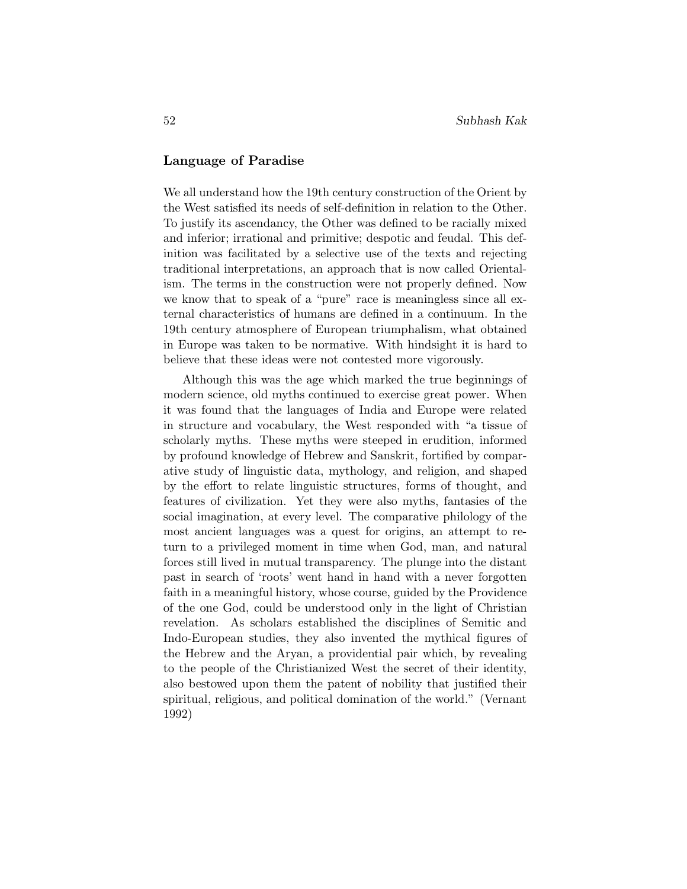### **Language of Paradise**

We all understand how the 19th century construction of the Orient by the West satisfied its needs of self-definition in relation to the Other. To justify its ascendancy, the Other was defined to be racially mixed and inferior; irrational and primitive; despotic and feudal. This definition was facilitated by a selective use of the texts and rejecting traditional interpretations, an approach that is now called Orientalism. The terms in the construction were not properly defined. Now we know that to speak of a "pure" race is meaningless since all external characteristics of humans are defined in a continuum. In the 19th century atmosphere of European triumphalism, what obtained in Europe was taken to be normative. With hindsight it is hard to believe that these ideas were not contested more vigorously.

Although this was the age which marked the true beginnings of modern science, old myths continued to exercise great power. When it was found that the languages of India and Europe were related in structure and vocabulary, the West responded with "a tissue of scholarly myths. These myths were steeped in erudition, informed by profound knowledge of Hebrew and Sanskrit, fortified by comparative study of linguistic data, mythology, and religion, and shaped by the effort to relate linguistic structures, forms of thought, and features of civilization. Yet they were also myths, fantasies of the social imagination, at every level. The comparative philology of the most ancient languages was a quest for origins, an attempt to return to a privileged moment in time when God, man, and natural forces still lived in mutual transparency. The plunge into the distant past in search of 'roots' went hand in hand with a never forgotten faith in a meaningful history, whose course, guided by the Providence of the one God, could be understood only in the light of Christian revelation. As scholars established the disciplines of Semitic and Indo-European studies, they also invented the mythical figures of the Hebrew and the Aryan, a providential pair which, by revealing to the people of the Christianized West the secret of their identity, also bestowed upon them the patent of nobility that justified their spiritual, religious, and political domination of the world." (Vernant 1992)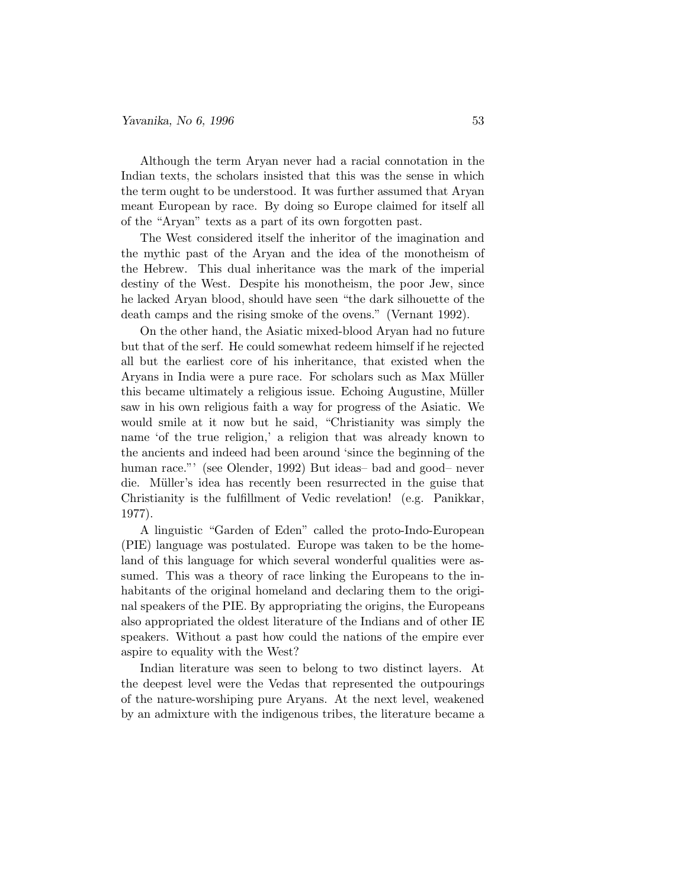#### *Yavanika, No 6, 1996* 53

Although the term Aryan never had a racial connotation in the Indian texts, the scholars insisted that this was the sense in which the term ought to be understood. It was further assumed that Aryan meant European by race. By doing so Europe claimed for itself all of the "Aryan" texts as a part of its own forgotten past.

The West considered itself the inheritor of the imagination and the mythic past of the Aryan and the idea of the monotheism of the Hebrew. This dual inheritance was the mark of the imperial destiny of the West. Despite his monotheism, the poor Jew, since he lacked Aryan blood, should have seen "the dark silhouette of the death camps and the rising smoke of the ovens." (Vernant 1992).

On the other hand, the Asiatic mixed-blood Aryan had no future but that of the serf. He could somewhat redeem himself if he rejected all but the earliest core of his inheritance, that existed when the Aryans in India were a pure race. For scholars such as Max Müller this became ultimately a religious issue. Echoing Augustine, Müller saw in his own religious faith a way for progress of the Asiatic. We would smile at it now but he said, "Christianity was simply the name 'of the true religion,' a religion that was already known to the ancients and indeed had been around 'since the beginning of the human race."' (see Olender, 1992) But ideas– bad and good– never die. Müller's idea has recently been resurrected in the guise that Christianity is the fulfillment of Vedic revelation! (e.g. Panikkar, 1977).

A linguistic "Garden of Eden" called the proto-Indo-European (PIE) language was postulated. Europe was taken to be the homeland of this language for which several wonderful qualities were assumed. This was a theory of race linking the Europeans to the inhabitants of the original homeland and declaring them to the original speakers of the PIE. By appropriating the origins, the Europeans also appropriated the oldest literature of the Indians and of other IE speakers. Without a past how could the nations of the empire ever aspire to equality with the West?

Indian literature was seen to belong to two distinct layers. At the deepest level were the Vedas that represented the outpourings of the nature-worshiping pure Aryans. At the next level, weakened by an admixture with the indigenous tribes, the literature became a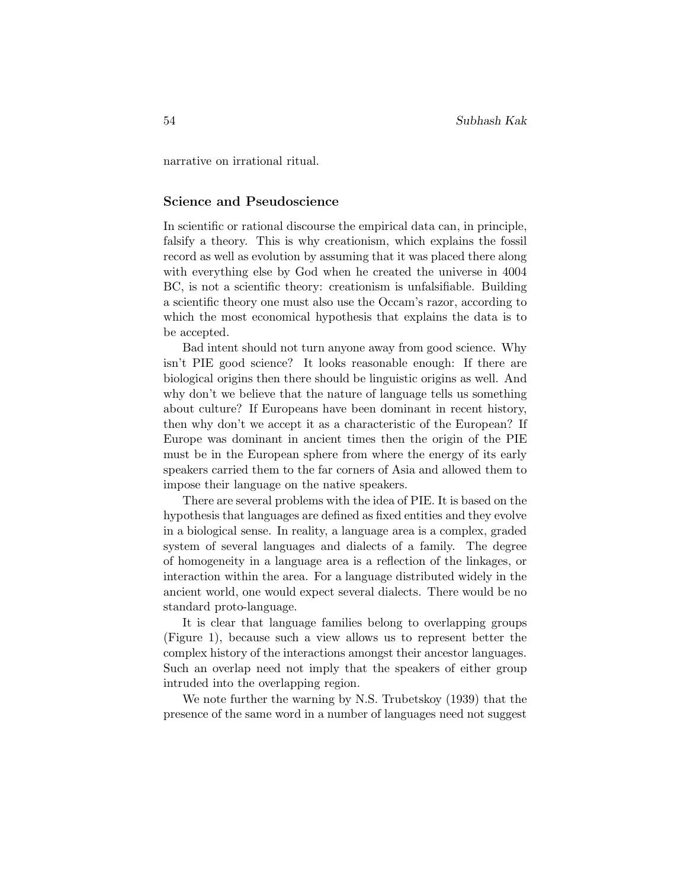narrative on irrational ritual.

#### **Science and Pseudoscience**

In scientific or rational discourse the empirical data can, in principle, falsify a theory. This is why creationism, which explains the fossil record as well as evolution by assuming that it was placed there along with everything else by God when he created the universe in 4004 BC, is not a scientific theory: creationism is unfalsifiable. Building a scientific theory one must also use the Occam's razor, according to which the most economical hypothesis that explains the data is to be accepted.

Bad intent should not turn anyone away from good science. Why isn't PIE good science? It looks reasonable enough: If there are biological origins then there should be linguistic origins as well. And why don't we believe that the nature of language tells us something about culture? If Europeans have been dominant in recent history, then why don't we accept it as a characteristic of the European? If Europe was dominant in ancient times then the origin of the PIE must be in the European sphere from where the energy of its early speakers carried them to the far corners of Asia and allowed them to impose their language on the native speakers.

There are several problems with the idea of PIE. It is based on the hypothesis that languages are defined as fixed entities and they evolve in a biological sense. In reality, a language area is a complex, graded system of several languages and dialects of a family. The degree of homogeneity in a language area is a reflection of the linkages, or interaction within the area. For a language distributed widely in the ancient world, one would expect several dialects. There would be no standard proto-language.

It is clear that language families belong to overlapping groups (Figure 1), because such a view allows us to represent better the complex history of the interactions amongst their ancestor languages. Such an overlap need not imply that the speakers of either group intruded into the overlapping region.

We note further the warning by N.S. Trubetskoy (1939) that the presence of the same word in a number of languages need not suggest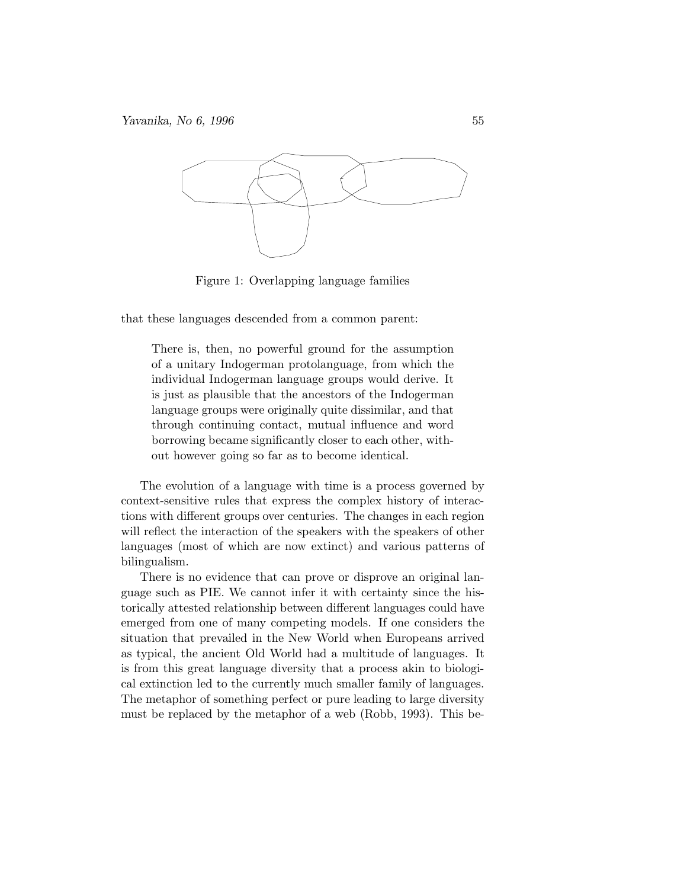

Figure 1: Overlapping language families

that these languages descended from a common parent:

There is, then, no powerful ground for the assumption of a unitary Indogerman protolanguage, from which the individual Indogerman language groups would derive. It is just as plausible that the ancestors of the Indogerman language groups were originally quite dissimilar, and that through continuing contact, mutual influence and word borrowing became significantly closer to each other, without however going so far as to become identical.

The evolution of a language with time is a process governed by context-sensitive rules that express the complex history of interactions with different groups over centuries. The changes in each region will reflect the interaction of the speakers with the speakers of other languages (most of which are now extinct) and various patterns of bilingualism.

There is no evidence that can prove or disprove an original language such as PIE. We cannot infer it with certainty since the historically attested relationship between different languages could have emerged from one of many competing models. If one considers the situation that prevailed in the New World when Europeans arrived as typical, the ancient Old World had a multitude of languages. It is from this great language diversity that a process akin to biological extinction led to the currently much smaller family of languages. The metaphor of something perfect or pure leading to large diversity must be replaced by the metaphor of a web (Robb, 1993). This be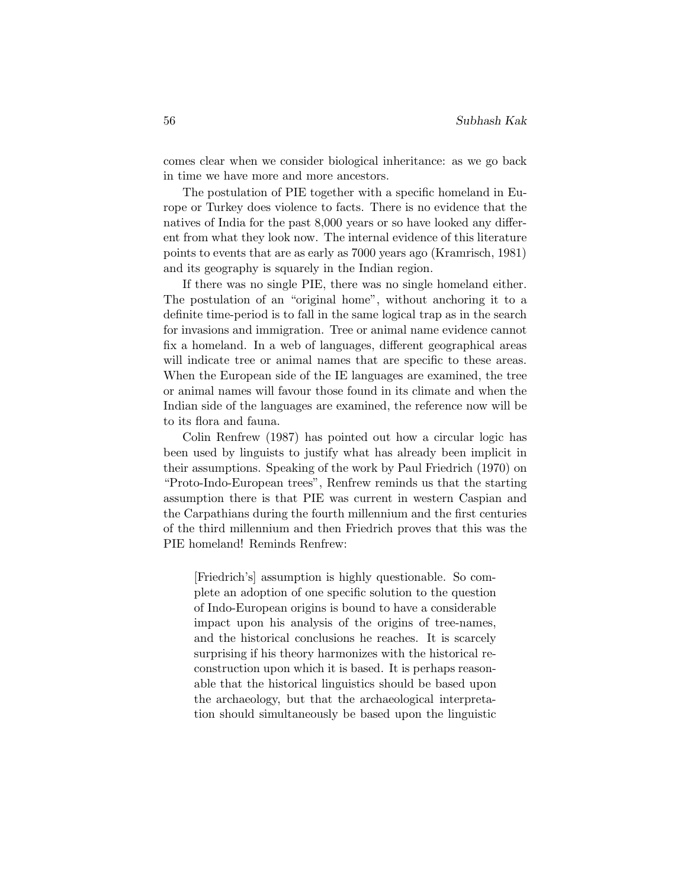comes clear when we consider biological inheritance: as we go back in time we have more and more ancestors.

The postulation of PIE together with a specific homeland in Europe or Turkey does violence to facts. There is no evidence that the natives of India for the past 8,000 years or so have looked any different from what they look now. The internal evidence of this literature points to events that are as early as 7000 years ago (Kramrisch, 1981) and its geography is squarely in the Indian region.

If there was no single PIE, there was no single homeland either. The postulation of an "original home", without anchoring it to a definite time-period is to fall in the same logical trap as in the search for invasions and immigration. Tree or animal name evidence cannot fix a homeland. In a web of languages, different geographical areas will indicate tree or animal names that are specific to these areas. When the European side of the IE languages are examined, the tree or animal names will favour those found in its climate and when the Indian side of the languages are examined, the reference now will be to its flora and fauna.

Colin Renfrew (1987) has pointed out how a circular logic has been used by linguists to justify what has already been implicit in their assumptions. Speaking of the work by Paul Friedrich (1970) on "Proto-Indo-European trees", Renfrew reminds us that the starting assumption there is that PIE was current in western Caspian and the Carpathians during the fourth millennium and the first centuries of the third millennium and then Friedrich proves that this was the PIE homeland! Reminds Renfrew:

[Friedrich's] assumption is highly questionable. So complete an adoption of one specific solution to the question of Indo-European origins is bound to have a considerable impact upon his analysis of the origins of tree-names, and the historical conclusions he reaches. It is scarcely surprising if his theory harmonizes with the historical reconstruction upon which it is based. It is perhaps reasonable that the historical linguistics should be based upon the archaeology, but that the archaeological interpretation should simultaneously be based upon the linguistic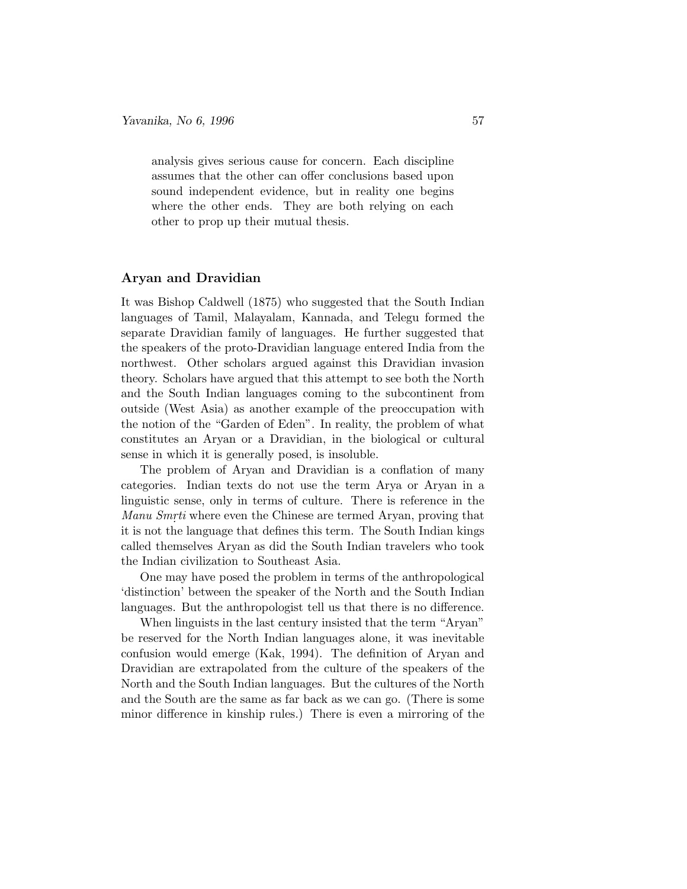analysis gives serious cause for concern. Each discipline assumes that the other can offer conclusions based upon sound independent evidence, but in reality one begins where the other ends. They are both relying on each other to prop up their mutual thesis.

#### **Aryan and Dravidian**

It was Bishop Caldwell (1875) who suggested that the South Indian languages of Tamil, Malayalam, Kannada, and Telegu formed the separate Dravidian family of languages. He further suggested that the speakers of the proto-Dravidian language entered India from the northwest. Other scholars argued against this Dravidian invasion theory. Scholars have argued that this attempt to see both the North and the South Indian languages coming to the subcontinent from outside (West Asia) as another example of the preoccupation with the notion of the "Garden of Eden". In reality, the problem of what constitutes an Aryan or a Dravidian, in the biological or cultural sense in which it is generally posed, is insoluble.

The problem of Aryan and Dravidian is a conflation of many categories. Indian texts do not use the term Arya or Aryan in a linguistic sense, only in terms of culture. There is reference in the Manu Smrti where even the Chinese are termed Aryan, proving that it is not the language that defines this term. The South Indian kings called themselves Aryan as did the South Indian travelers who took the Indian civilization to Southeast Asia.

One may have posed the problem in terms of the anthropological 'distinction' between the speaker of the North and the South Indian languages. But the anthropologist tell us that there is no difference.

When linguists in the last century insisted that the term "Aryan" be reserved for the North Indian languages alone, it was inevitable confusion would emerge (Kak, 1994). The definition of Aryan and Dravidian are extrapolated from the culture of the speakers of the North and the South Indian languages. But the cultures of the North and the South are the same as far back as we can go. (There is some minor difference in kinship rules.) There is even a mirroring of the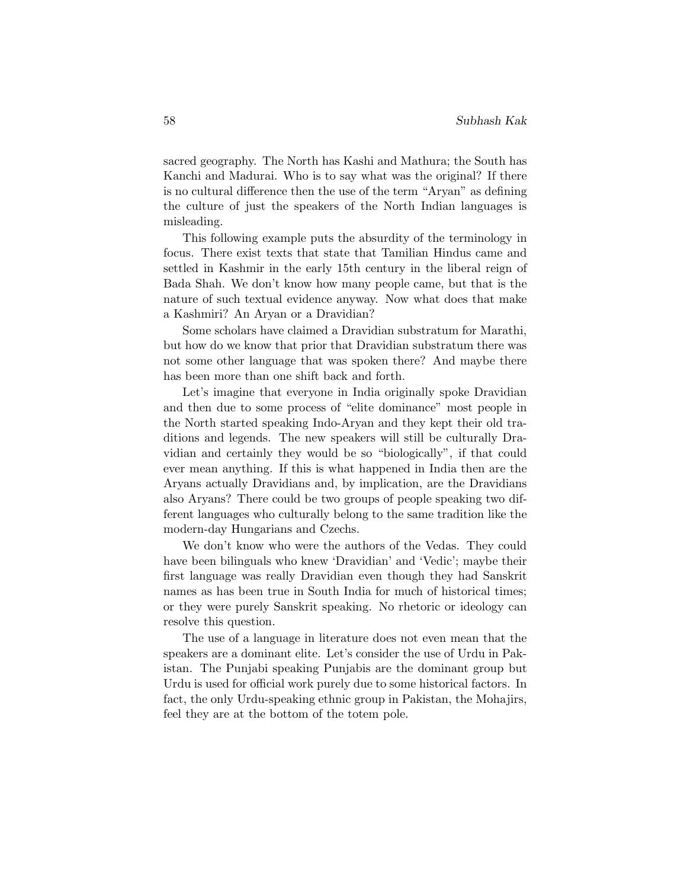sacred geography. The North has Kashi and Mathura; the South has Kanchi and Madurai. Who is to say what was the original? If there is no cultural difference then the use of the term "Aryan" as defining the culture of just the speakers of the North Indian languages is misleading.

This following example puts the absurdity of the terminology in focus. There exist texts that state that Tamilian Hindus came and settled in Kashmir in the early 15th century in the liberal reign of Bada Shah. We don't know how many people came, but that is the nature of such textual evidence anyway. Now what does that make a Kashmiri? An Aryan or a Dravidian?

Some scholars have claimed a Dravidian substratum for Marathi, but how do we know that prior that Dravidian substratum there was not some other language that was spoken there? And maybe there has been more than one shift back and forth.

Let's imagine that everyone in India originally spoke Dravidian and then due to some process of "elite dominance" most people in the North started speaking Indo-Aryan and they kept their old traditions and legends. The new speakers will still be culturally Dravidian and certainly they would be so "biologically", if that could ever mean anything. If this is what happened in India then are the Aryans actually Dravidians and, by implication, are the Dravidians also Aryans? There could be two groups of people speaking two different languages who culturally belong to the same tradition like the modern-day Hungarians and Czechs.

We don't know who were the authors of the Vedas. They could have been bilinguals who knew 'Dravidian' and 'Vedic'; maybe their first language was really Dravidian even though they had Sanskrit names as has been true in South India for much of historical times; or they were purely Sanskrit speaking. No rhetoric or ideology can resolve this question.

The use of a language in literature does not even mean that the speakers are a dominant elite. Let's consider the use of Urdu in Pakistan. The Punjabi speaking Punjabis are the dominant group but Urdu is used for official work purely due to some historical factors. In fact, the only Urdu-speaking ethnic group in Pakistan, the Mohajirs, feel they are at the bottom of the totem pole.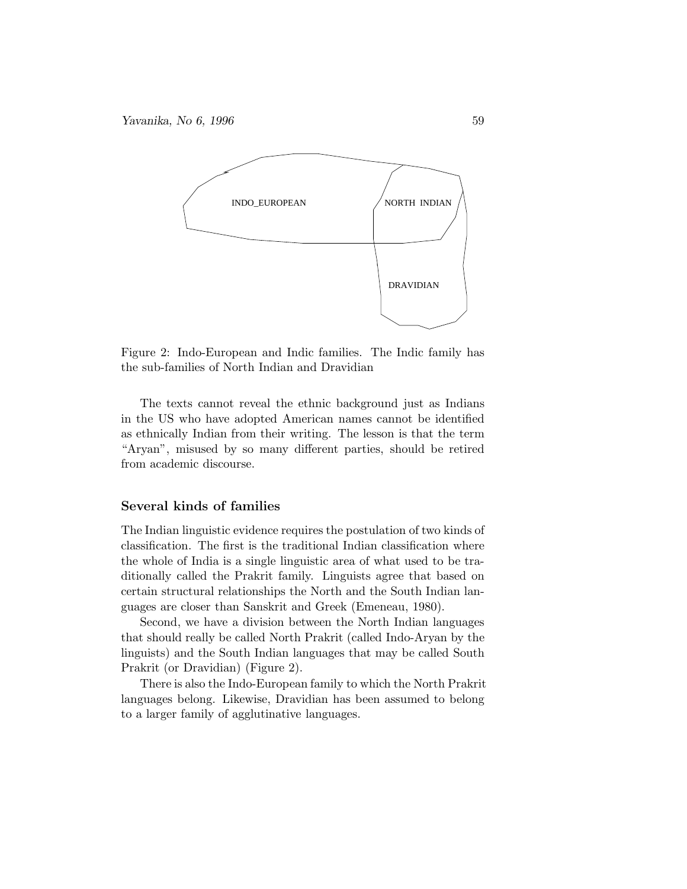*Yavanika, No 6, 1996* 59



Figure 2: Indo-European and Indic families. The Indic family has the sub-families of North Indian and Dravidian

The texts cannot reveal the ethnic background just as Indians in the US who have adopted American names cannot be identified as ethnically Indian from their writing. The lesson is that the term "Aryan", misused by so many different parties, should be retired from academic discourse.

## **Several kinds of families**

The Indian linguistic evidence requires the postulation of two kinds of classification. The first is the traditional Indian classification where the whole of India is a single linguistic area of what used to be traditionally called the Prakrit family. Linguists agree that based on certain structural relationships the North and the South Indian languages are closer than Sanskrit and Greek (Emeneau, 1980).

Second, we have a division between the North Indian languages that should really be called North Prakrit (called Indo-Aryan by the linguists) and the South Indian languages that may be called South Prakrit (or Dravidian) (Figure 2).

There is also the Indo-European family to which the North Prakrit languages belong. Likewise, Dravidian has been assumed to belong to a larger family of agglutinative languages.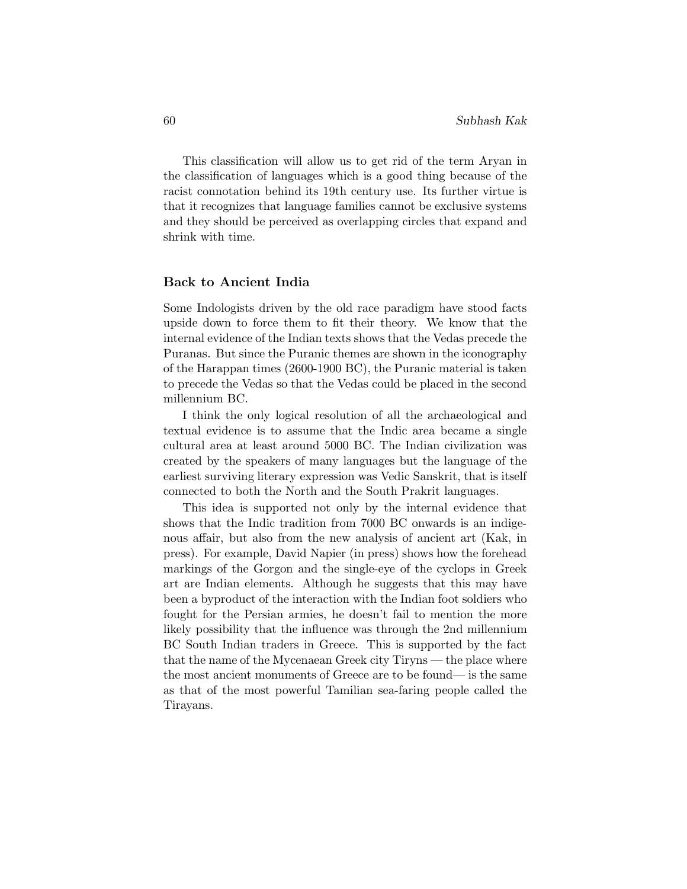This classification will allow us to get rid of the term Aryan in the classification of languages which is a good thing because of the racist connotation behind its 19th century use. Its further virtue is that it recognizes that language families cannot be exclusive systems and they should be perceived as overlapping circles that expand and shrink with time.

#### **Back to Ancient India**

Some Indologists driven by the old race paradigm have stood facts upside down to force them to fit their theory. We know that the internal evidence of the Indian texts shows that the Vedas precede the Puranas. But since the Puranic themes are shown in the iconography of the Harappan times (2600-1900 BC), the Puranic material is taken to precede the Vedas so that the Vedas could be placed in the second millennium BC.

I think the only logical resolution of all the archaeological and textual evidence is to assume that the Indic area became a single cultural area at least around 5000 BC. The Indian civilization was created by the speakers of many languages but the language of the earliest surviving literary expression was Vedic Sanskrit, that is itself connected to both the North and the South Prakrit languages.

This idea is supported not only by the internal evidence that shows that the Indic tradition from 7000 BC onwards is an indigenous affair, but also from the new analysis of ancient art (Kak, in press). For example, David Napier (in press) shows how the forehead markings of the Gorgon and the single-eye of the cyclops in Greek art are Indian elements. Although he suggests that this may have been a byproduct of the interaction with the Indian foot soldiers who fought for the Persian armies, he doesn't fail to mention the more likely possibility that the influence was through the 2nd millennium BC South Indian traders in Greece. This is supported by the fact that the name of the Mycenaean Greek city Tiryns — the place where the most ancient monuments of Greece are to be found— is the same as that of the most powerful Tamilian sea-faring people called the Tirayans.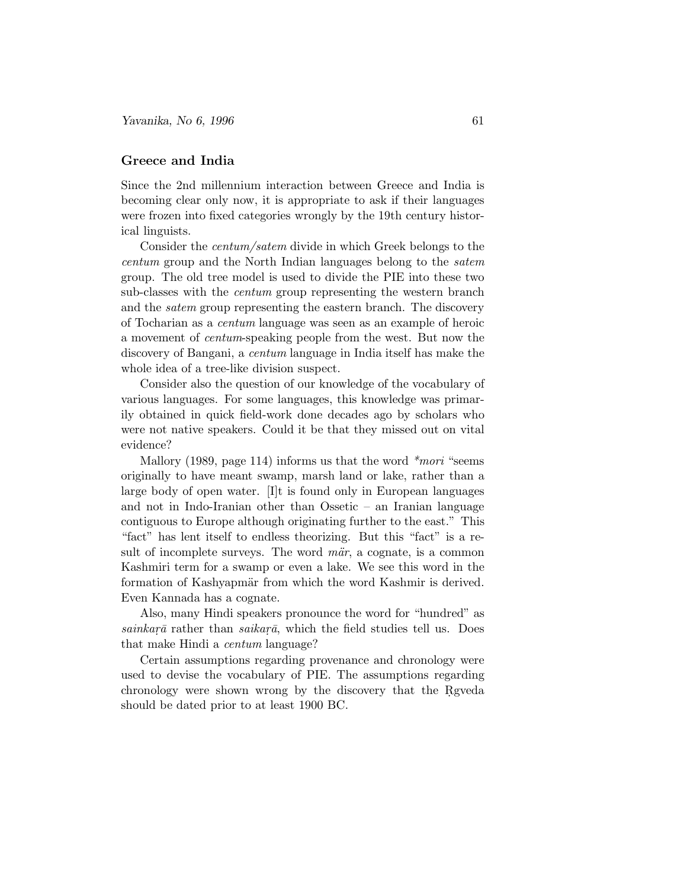## **Greece and India**

Since the 2nd millennium interaction between Greece and India is becoming clear only now, it is appropriate to ask if their languages were frozen into fixed categories wrongly by the 19th century historical linguists.

Consider the centum/satem divide in which Greek belongs to the centum group and the North Indian languages belong to the satem group. The old tree model is used to divide the PIE into these two sub-classes with the centum group representing the western branch and the satem group representing the eastern branch. The discovery of Tocharian as a centum language was seen as an example of heroic a movement of centum-speaking people from the west. But now the discovery of Bangani, a centum language in India itself has make the whole idea of a tree-like division suspect.

Consider also the question of our knowledge of the vocabulary of various languages. For some languages, this knowledge was primarily obtained in quick field-work done decades ago by scholars who were not native speakers. Could it be that they missed out on vital evidence?

Mallory (1989, page 114) informs us that the word  $**mori*$  "seems" originally to have meant swamp, marsh land or lake, rather than a large body of open water. [I]t is found only in European languages and not in Indo-Iranian other than Ossetic – an Iranian language contiguous to Europe although originating further to the east." This "fact" has lent itself to endless theorizing. But this "fact" is a result of incomplete surveys. The word  $m\ddot{a}r$ , a cognate, is a common Kashmiri term for a swamp or even a lake. We see this word in the formation of Kashyapmär from which the word Kashmir is derived. Even Kannada has a cognate.

Also, many Hindi speakers pronounce the word for "hundred" as  $sainkara$  rather than  $saikar\bar{a}$ , which the field studies tell us. Does that make Hindi a centum language?

Certain assumptions regarding provenance and chronology were used to devise the vocabulary of PIE. The assumptions regarding chronology were shown wrong by the discovery that the Regueda should be dated prior to at least 1900 BC.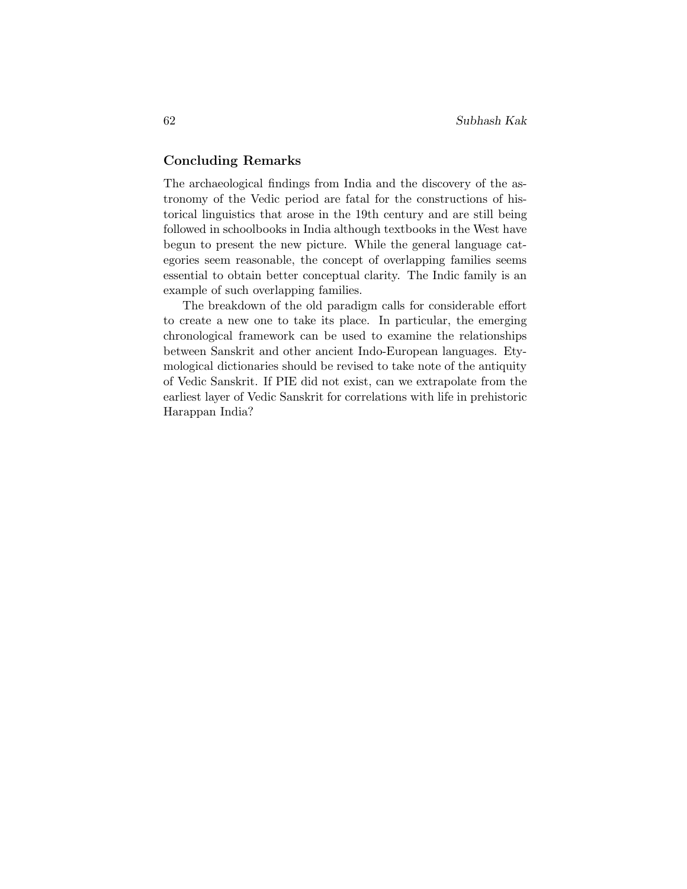## **Concluding Remarks**

The archaeological findings from India and the discovery of the astronomy of the Vedic period are fatal for the constructions of historical linguistics that arose in the 19th century and are still being followed in schoolbooks in India although textbooks in the West have begun to present the new picture. While the general language categories seem reasonable, the concept of overlapping families seems essential to obtain better conceptual clarity. The Indic family is an example of such overlapping families.

The breakdown of the old paradigm calls for considerable effort to create a new one to take its place. In particular, the emerging chronological framework can be used to examine the relationships between Sanskrit and other ancient Indo-European languages. Etymological dictionaries should be revised to take note of the antiquity of Vedic Sanskrit. If PIE did not exist, can we extrapolate from the earliest layer of Vedic Sanskrit for correlations with life in prehistoric Harappan India?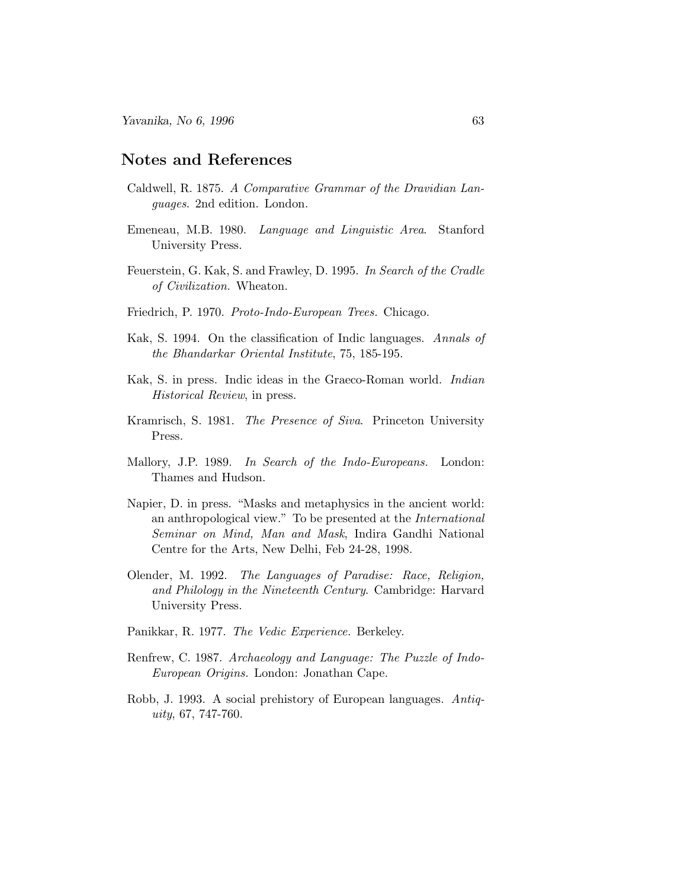## **Notes and References**

- Caldwell, R. 1875. A Comparative Grammar of the Dravidian Languages. 2nd edition. London.
- Emeneau, M.B. 1980. Language and Linguistic Area. Stanford University Press.
- Feuerstein, G. Kak, S. and Frawley, D. 1995. In Search of the Cradle of Civilization. Wheaton.
- Friedrich, P. 1970. Proto-Indo-European Trees. Chicago.
- Kak, S. 1994. On the classification of Indic languages. Annals of the Bhandarkar Oriental Institute, 75, 185-195.
- Kak, S. in press. Indic ideas in the Graeco-Roman world. Indian Historical Review, in press.
- Kramrisch, S. 1981. The Presence of Siva. Princeton University Press.
- Mallory, J.P. 1989. In Search of the Indo-Europeans. London: Thames and Hudson.
- Napier, D. in press. "Masks and metaphysics in the ancient world: an anthropological view." To be presented at the International Seminar on Mind, Man and Mask, Indira Gandhi National Centre for the Arts, New Delhi, Feb 24-28, 1998.
- Olender, M. 1992. The Languages of Paradise: Race, Religion, and Philology in the Nineteenth Century. Cambridge: Harvard University Press.
- Panikkar, R. 1977. The Vedic Experience. Berkeley.
- Renfrew, C. 1987. Archaeology and Language: The Puzzle of Indo-European Origins. London: Jonathan Cape.
- Robb, J. 1993. A social prehistory of European languages. Antiquity, 67, 747-760.